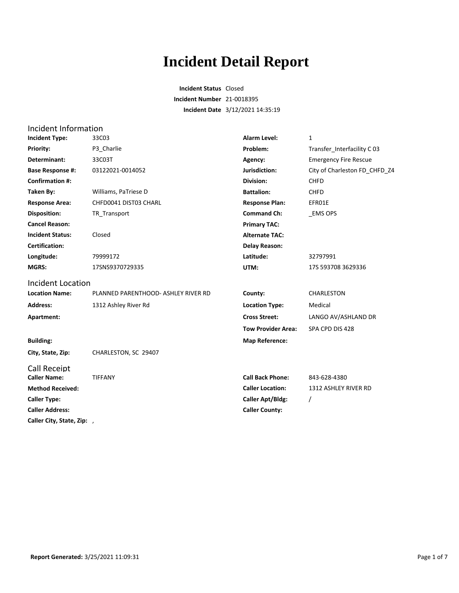# **Incident Detail Report**

**Incident Status** Closed **Incident Number** 21-0018395 **Incident Date** 3/12/2021 14:35:19

| Incident Information       |                                     |                           |                               |
|----------------------------|-------------------------------------|---------------------------|-------------------------------|
| <b>Incident Type:</b>      | 33C03                               | <b>Alarm Level:</b>       | $\mathbf{1}$                  |
| Priority:                  | P3 Charlie                          | Problem:                  | Transfer_Interfacility C 03   |
| Determinant:               | 33C03T                              | Agency:                   | <b>Emergency Fire Rescue</b>  |
| <b>Base Response #:</b>    | 03122021-0014052                    | Jurisdiction:             | City of Charleston FD CHFD Z4 |
| <b>Confirmation #:</b>     |                                     | <b>Division:</b>          | <b>CHFD</b>                   |
| Taken By:                  | Williams, PaTriese D                | <b>Battalion:</b>         | <b>CHFD</b>                   |
| <b>Response Area:</b>      | CHFD0041 DIST03 CHARL               | <b>Response Plan:</b>     | EFR01E                        |
| <b>Disposition:</b>        | TR Transport                        | <b>Command Ch:</b>        | <b>EMS OPS</b>                |
| <b>Cancel Reason:</b>      |                                     | <b>Primary TAC:</b>       |                               |
| <b>Incident Status:</b>    | Closed                              | <b>Alternate TAC:</b>     |                               |
| <b>Certification:</b>      |                                     | <b>Delay Reason:</b>      |                               |
| Longitude:                 | 79999172                            | Latitude:                 | 32797991                      |
| <b>MGRS:</b>               | 17SNS9370729335                     | UTM:                      | 17S 593708 3629336            |
| Incident Location          |                                     |                           |                               |
| <b>Location Name:</b>      | PLANNED PARENTHOOD- ASHLEY RIVER RD | County:                   | CHARLESTON                    |
| <b>Address:</b>            | 1312 Ashley River Rd                | <b>Location Type:</b>     | Medical                       |
| Apartment:                 |                                     | <b>Cross Street:</b>      | LANGO AV/ASHLAND DR           |
|                            |                                     | <b>Tow Provider Area:</b> | SPA CPD DIS 428               |
| <b>Building:</b>           |                                     | <b>Map Reference:</b>     |                               |
| City, State, Zip:          | CHARLESTON, SC 29407                |                           |                               |
| <b>Call Receipt</b>        |                                     |                           |                               |
| <b>Caller Name:</b>        | <b>TIFFANY</b>                      | <b>Call Back Phone:</b>   | 843-628-4380                  |
| <b>Method Received:</b>    |                                     | <b>Caller Location:</b>   | 1312 ASHLEY RIVER RD          |
| <b>Caller Type:</b>        |                                     | <b>Caller Apt/Bldg:</b>   | 7                             |
| <b>Caller Address:</b>     |                                     | <b>Caller County:</b>     |                               |
| Caller City, State, Zip: , |                                     |                           |                               |
|                            |                                     |                           |                               |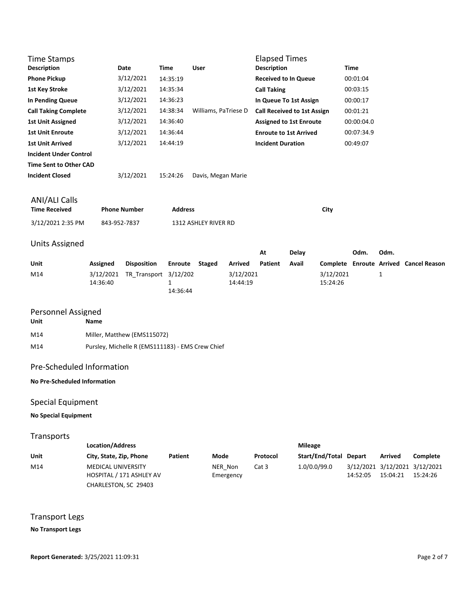| <b>Time Stamps</b><br><b>Description</b>     |                       | <b>Date</b>                 | <b>Time</b>                          | <b>User</b>          |                       | <b>Elapsed Times</b><br><b>Description</b> |              |                       | <b>Time</b> |      |                                        |
|----------------------------------------------|-----------------------|-----------------------------|--------------------------------------|----------------------|-----------------------|--------------------------------------------|--------------|-----------------------|-------------|------|----------------------------------------|
| <b>Phone Pickup</b>                          |                       | 3/12/2021                   | 14:35:19                             |                      |                       | <b>Received to In Queue</b>                |              |                       | 00:01:04    |      |                                        |
| <b>1st Key Stroke</b>                        |                       | 3/12/2021                   | 14:35:34                             |                      |                       | <b>Call Taking</b>                         |              |                       | 00:03:15    |      |                                        |
| <b>In Pending Queue</b>                      |                       | 3/12/2021                   | 14:36:23                             |                      |                       | In Queue To 1st Assign                     |              |                       | 00:00:17    |      |                                        |
| <b>Call Taking Complete</b>                  |                       | 3/12/2021                   | 14:38:34                             | Williams, PaTriese D |                       | <b>Call Received to 1st Assign</b>         |              |                       | 00:01:21    |      |                                        |
| <b>1st Unit Assigned</b>                     |                       | 3/12/2021                   | 14:36:40                             |                      |                       | <b>Assigned to 1st Enroute</b>             |              |                       | 00:00:04.0  |      |                                        |
| <b>1st Unit Enroute</b>                      |                       | 3/12/2021                   | 14:36:44                             |                      |                       | <b>Enroute to 1st Arrived</b>              |              |                       | 00:07:34.9  |      |                                        |
| <b>1st Unit Arrived</b>                      |                       | 3/12/2021                   | 14:44:19                             |                      |                       | <b>Incident Duration</b>                   |              |                       | 00:49:07    |      |                                        |
| <b>Incident Under Control</b>                |                       |                             |                                      |                      |                       |                                            |              |                       |             |      |                                        |
| <b>Time Sent to Other CAD</b>                |                       |                             |                                      |                      |                       |                                            |              |                       |             |      |                                        |
| <b>Incident Closed</b>                       |                       | 3/12/2021                   | 15:24:26                             | Davis, Megan Marie   |                       |                                            |              |                       |             |      |                                        |
|                                              |                       |                             |                                      |                      |                       |                                            |              |                       |             |      |                                        |
| <b>ANI/ALI Calls</b><br><b>Time Received</b> |                       | <b>Phone Number</b>         | <b>Address</b>                       |                      |                       |                                            |              | City                  |             |      |                                        |
| 3/12/2021 2:35 PM                            |                       | 843-952-7837                |                                      | 1312 ASHLEY RIVER RD |                       |                                            |              |                       |             |      |                                        |
| <b>Units Assigned</b>                        |                       |                             |                                      |                      |                       |                                            |              |                       |             |      |                                        |
|                                              |                       |                             |                                      |                      |                       | At                                         | <b>Delay</b> |                       | Odm.        | Odm. |                                        |
| Unit                                         | Assigned              | <b>Disposition</b>          | <b>Enroute</b>                       | <b>Staged</b>        | <b>Arrived</b>        | <b>Patient</b>                             | Avail        |                       |             |      | Complete Enroute Arrived Cancel Reason |
| M14                                          | 3/12/2021<br>14:36:40 | TR Transport                | 3/12/202<br>$\mathbf{1}$<br>14:36:44 |                      | 3/12/2021<br>14:44:19 |                                            |              | 3/12/2021<br>15:24:26 |             | 1    |                                        |
| Personnel Assigned                           |                       |                             |                                      |                      |                       |                                            |              |                       |             |      |                                        |
| <b>Unit</b>                                  | <b>Name</b>           |                             |                                      |                      |                       |                                            |              |                       |             |      |                                        |
| M14                                          |                       | Miller, Matthew (EMS115072) |                                      |                      |                       |                                            |              |                       |             |      |                                        |

M14 Pursley, Michelle R (EMS111183) - EMS Crew Chief

## Pre-Scheduled Information

#### **No Pre-Scheduled Information**

# Special Equipment

### **No Special Equipment**

#### Transports

|      | <b>Location/Address</b>                               | <b>Mileage</b> |                      |          |                        |          |                |                                           |
|------|-------------------------------------------------------|----------------|----------------------|----------|------------------------|----------|----------------|-------------------------------------------|
| Unit | City, State, Zip, Phone                               | Patient        | Mode                 | Protocol | Start/End/Total Depart |          | <b>Arrived</b> | Complete                                  |
| M14  | <b>MEDICAL UNIVERSITY</b><br>HOSPITAL / 171 ASHLEY AV |                | NER Non<br>Emergency | Cat 3    | 1.0/0.0/99.0           | 14:52:05 | 15:04:21       | 3/12/2021 3/12/2021 3/12/2021<br>15:24:26 |
|      | CHARLESTON, SC 29403                                  |                |                      |          |                        |          |                |                                           |

Transport Legs

#### **No Transport Legs**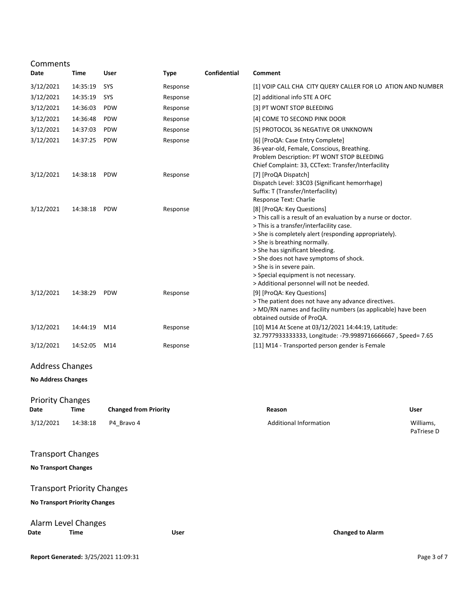| Comments                             |          |                              |             |                     |                                                                                                                                                                                                                                                                                                                                                                                                                                   |                         |
|--------------------------------------|----------|------------------------------|-------------|---------------------|-----------------------------------------------------------------------------------------------------------------------------------------------------------------------------------------------------------------------------------------------------------------------------------------------------------------------------------------------------------------------------------------------------------------------------------|-------------------------|
| Date                                 | Time     | User                         | <b>Type</b> | <b>Confidential</b> | Comment                                                                                                                                                                                                                                                                                                                                                                                                                           |                         |
| 3/12/2021                            | 14:35:19 | SYS                          | Response    |                     | [1] VOIP CALL CHA CITY QUERY CALLER FOR LO ATION AND NUMBER                                                                                                                                                                                                                                                                                                                                                                       |                         |
| 3/12/2021                            | 14:35:19 | SYS                          | Response    |                     | [2] additional info STE A OFC                                                                                                                                                                                                                                                                                                                                                                                                     |                         |
| 3/12/2021                            | 14:36:03 | <b>PDW</b>                   | Response    |                     | [3] PT WONT STOP BLEEDING                                                                                                                                                                                                                                                                                                                                                                                                         |                         |
| 3/12/2021                            | 14:36:48 | <b>PDW</b>                   | Response    |                     | [4] COME TO SECOND PINK DOOR                                                                                                                                                                                                                                                                                                                                                                                                      |                         |
| 3/12/2021                            | 14:37:03 | <b>PDW</b>                   | Response    |                     | [5] PROTOCOL 36 NEGATIVE OR UNKNOWN                                                                                                                                                                                                                                                                                                                                                                                               |                         |
| 3/12/2021                            | 14:37:25 | PDW                          | Response    |                     | [6] [ProQA: Case Entry Complete]<br>36-year-old, Female, Conscious, Breathing.<br>Problem Description: PT WONT STOP BLEEDING<br>Chief Complaint: 33, CCText: Transfer/Interfacility                                                                                                                                                                                                                                               |                         |
| 3/12/2021                            | 14:38:18 | <b>PDW</b>                   | Response    |                     | [7] [ProQA Dispatch]<br>Dispatch Level: 33C03 (Significant hemorrhage)<br>Suffix: T (Transfer/Interfacility)<br>Response Text: Charlie                                                                                                                                                                                                                                                                                            |                         |
| 3/12/2021                            | 14:38:18 | PDW                          | Response    |                     | [8] [ProQA: Key Questions]<br>> This call is a result of an evaluation by a nurse or doctor.<br>> This is a transfer/interfacility case.<br>> She is completely alert (responding appropriately).<br>> She is breathing normally.<br>> She has significant bleeding.<br>> She does not have symptoms of shock.<br>> She is in severe pain.<br>> Special equipment is not necessary.<br>> Additional personnel will not be needed. |                         |
| 3/12/2021                            | 14:38:29 | PDW                          | Response    |                     | [9] [ProQA: Key Questions]<br>> The patient does not have any advance directives.<br>> MD/RN names and facility numbers (as applicable) have been<br>obtained outside of ProQA.                                                                                                                                                                                                                                                   |                         |
| 3/12/2021                            | 14:44:19 | M14                          | Response    |                     | [10] M14 At Scene at 03/12/2021 14:44:19, Latitude:<br>32.79779333333333, Longitude: -79.9989716666667, Speed= 7.65                                                                                                                                                                                                                                                                                                               |                         |
| 3/12/2021                            | 14:52:05 | M14                          | Response    |                     | [11] M14 - Transported person gender is Female                                                                                                                                                                                                                                                                                                                                                                                    |                         |
| <b>Address Changes</b>               |          |                              |             |                     |                                                                                                                                                                                                                                                                                                                                                                                                                                   |                         |
| <b>No Address Changes</b>            |          |                              |             |                     |                                                                                                                                                                                                                                                                                                                                                                                                                                   |                         |
| <b>Priority Changes</b><br>Date      | Time     | <b>Changed from Priority</b> |             |                     | Reason                                                                                                                                                                                                                                                                                                                                                                                                                            | <b>User</b>             |
| 3/12/2021                            | 14:38:18 | P4 Bravo 4                   |             |                     | <b>Additional Information</b>                                                                                                                                                                                                                                                                                                                                                                                                     | Williams,<br>PaTriese D |
| <b>Transport Changes</b>             |          |                              |             |                     |                                                                                                                                                                                                                                                                                                                                                                                                                                   |                         |
| <b>No Transport Changes</b>          |          |                              |             |                     |                                                                                                                                                                                                                                                                                                                                                                                                                                   |                         |
| <b>Transport Priority Changes</b>    |          |                              |             |                     |                                                                                                                                                                                                                                                                                                                                                                                                                                   |                         |
| <b>No Transport Priority Changes</b> |          |                              |             |                     |                                                                                                                                                                                                                                                                                                                                                                                                                                   |                         |
| Alarm Level Changes<br>Date          | Time     |                              | User        |                     | <b>Changed to Alarm</b>                                                                                                                                                                                                                                                                                                                                                                                                           |                         |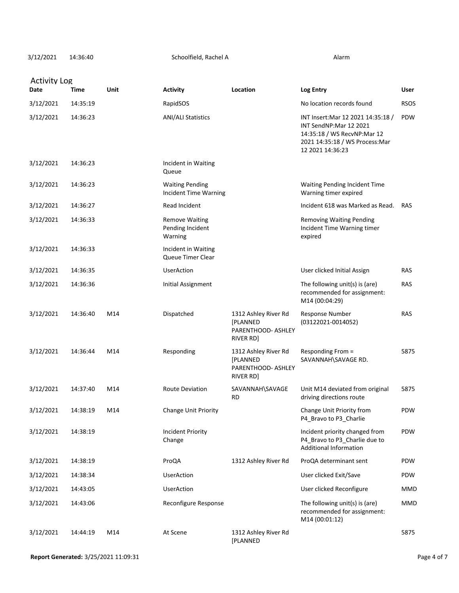3/12/2021 Alarm 14:36:40 Schoolfield, Rachel A

| <b>Activity Log</b> |          |      |                                                        |                                                                                   |                                                                                                                                                    |             |
|---------------------|----------|------|--------------------------------------------------------|-----------------------------------------------------------------------------------|----------------------------------------------------------------------------------------------------------------------------------------------------|-------------|
| Date                | Time     | Unit | <b>Activity</b>                                        | Location                                                                          | Log Entry                                                                                                                                          | User        |
| 3/12/2021           | 14:35:19 |      | RapidSOS                                               |                                                                                   | No location records found                                                                                                                          | <b>RSOS</b> |
| 3/12/2021           | 14:36:23 |      | <b>ANI/ALI Statistics</b>                              |                                                                                   | INT Insert: Mar 12 2021 14:35:18 /<br>INT SendNP:Mar 12 2021<br>14:35:18 / WS RecvNP:Mar 12<br>2021 14:35:18 / WS Process: Mar<br>12 2021 14:36:23 | <b>PDW</b>  |
| 3/12/2021           | 14:36:23 |      | Incident in Waiting<br>Queue                           |                                                                                   |                                                                                                                                                    |             |
| 3/12/2021           | 14:36:23 |      | <b>Waiting Pending</b><br><b>Incident Time Warning</b> |                                                                                   | Waiting Pending Incident Time<br>Warning timer expired                                                                                             |             |
| 3/12/2021           | 14:36:27 |      | Read Incident                                          |                                                                                   | Incident 618 was Marked as Read.                                                                                                                   | RAS         |
| 3/12/2021           | 14:36:33 |      | <b>Remove Waiting</b><br>Pending Incident<br>Warning   |                                                                                   | <b>Removing Waiting Pending</b><br>Incident Time Warning timer<br>expired                                                                          |             |
| 3/12/2021           | 14:36:33 |      | Incident in Waiting<br>Queue Timer Clear               |                                                                                   |                                                                                                                                                    |             |
| 3/12/2021           | 14:36:35 |      | <b>UserAction</b>                                      |                                                                                   | User clicked Initial Assign                                                                                                                        | <b>RAS</b>  |
| 3/12/2021           | 14:36:36 |      | Initial Assignment                                     |                                                                                   | The following unit(s) is (are)<br>recommended for assignment:<br>M14 (00:04:29)                                                                    | <b>RAS</b>  |
| 3/12/2021           | 14:36:40 | M14  | Dispatched                                             | 1312 Ashley River Rd<br><b>[PLANNED</b><br>PARENTHOOD- ASHLEY<br><b>RIVER RD]</b> | Response Number<br>$(03122021 - 0014052)$                                                                                                          | <b>RAS</b>  |
| 3/12/2021           | 14:36:44 | M14  | Responding                                             | 1312 Ashley River Rd<br><b>[PLANNED</b><br>PARENTHOOD- ASHLEY<br>RIVER RD]        | Responding From =<br>SAVANNAH\SAVAGE RD.                                                                                                           | 5875        |
| 3/12/2021           | 14:37:40 | M14  | <b>Route Deviation</b>                                 | SAVANNAH\SAVAGE<br>RD                                                             | Unit M14 deviated from original<br>driving directions route                                                                                        | 5875        |
| 3/12/2021           | 14:38:19 | M14  | Change Unit Priority                                   |                                                                                   | Change Unit Priority from<br>P4_Bravo to P3_Charlie                                                                                                | PDW         |
| 3/12/2021           | 14:38:19 |      | <b>Incident Priority</b><br>Change                     |                                                                                   | Incident priority changed from<br>P4_Bravo to P3_Charlie due to<br><b>Additional Information</b>                                                   | <b>PDW</b>  |
| 3/12/2021           | 14:38:19 |      | ProQA                                                  | 1312 Ashley River Rd                                                              | ProQA determinant sent                                                                                                                             | <b>PDW</b>  |
| 3/12/2021           | 14:38:34 |      | <b>UserAction</b>                                      |                                                                                   | User clicked Exit/Save                                                                                                                             | PDW         |
| 3/12/2021           | 14:43:05 |      | <b>UserAction</b>                                      |                                                                                   | User clicked Reconfigure                                                                                                                           | <b>MMD</b>  |
| 3/12/2021           | 14:43:06 |      | Reconfigure Response                                   |                                                                                   | The following unit(s) is (are)<br>recommended for assignment:<br>M14 (00:01:12)                                                                    | <b>MMD</b>  |
| 3/12/2021           | 14:44:19 | M14  | At Scene                                               | 1312 Ashley River Rd<br>[PLANNED                                                  |                                                                                                                                                    | 5875        |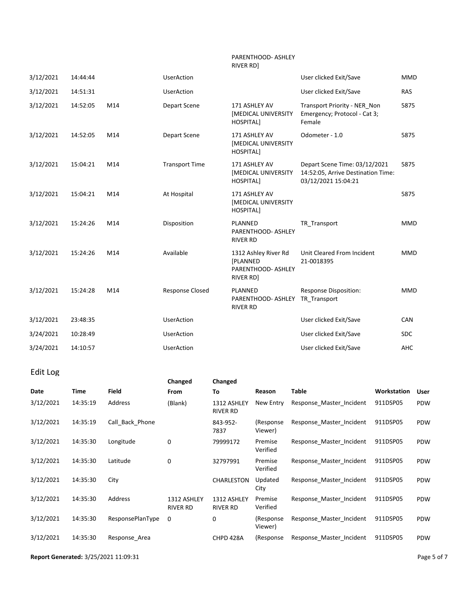#### PARENTHOOD- ASHLEY RIVER RD]

| 3/12/2021 | 14:44:44 |     | <b>UserAction</b>      |                                                                            | User clicked Exit/Save                                                                     | <b>MMD</b> |
|-----------|----------|-----|------------------------|----------------------------------------------------------------------------|--------------------------------------------------------------------------------------------|------------|
| 3/12/2021 | 14:51:31 |     | <b>UserAction</b>      |                                                                            | User clicked Exit/Save                                                                     | <b>RAS</b> |
| 3/12/2021 | 14:52:05 | M14 | Depart Scene           | 171 ASHLEY AV<br><b>[MEDICAL UNIVERSITY</b><br>HOSPITAL]                   | Transport Priority - NER Non<br>Emergency; Protocol - Cat 3;<br>Female                     | 5875       |
| 3/12/2021 | 14:52:05 | M14 | Depart Scene           | 171 ASHLEY AV<br><b>[MEDICAL UNIVERSITY</b><br><b>HOSPITAL]</b>            | Odometer - 1.0                                                                             | 5875       |
| 3/12/2021 | 15:04:21 | M14 | <b>Transport Time</b>  | 171 ASHLEY AV<br><b>[MEDICAL UNIVERSITY</b><br>HOSPITAL]                   | Depart Scene Time: 03/12/2021<br>14:52:05, Arrive Destination Time:<br>03/12/2021 15:04:21 | 5875       |
| 3/12/2021 | 15:04:21 | M14 | At Hospital            | 171 ASHLEY AV<br><b>[MEDICAL UNIVERSITY</b><br><b>HOSPITAL]</b>            |                                                                                            | 5875       |
| 3/12/2021 | 15:24:26 | M14 | Disposition            | PLANNED<br>PARENTHOOD- ASHLEY<br><b>RIVER RD</b>                           | TR Transport                                                                               | <b>MMD</b> |
| 3/12/2021 | 15:24:26 | M14 | Available              | 1312 Ashley River Rd<br><b>[PLANNED</b><br>PARENTHOOD- ASHLEY<br>RIVER RD] | Unit Cleared From Incident<br>21-0018395                                                   | <b>MMD</b> |
| 3/12/2021 | 15:24:28 | M14 | <b>Response Closed</b> | PLANNED<br>PARENTHOOD- ASHLEY<br><b>RIVER RD</b>                           | <b>Response Disposition:</b><br>TR Transport                                               | <b>MMD</b> |
| 3/12/2021 | 23:48:35 |     | <b>UserAction</b>      |                                                                            | User clicked Exit/Save                                                                     | CAN        |
| 3/24/2021 | 10:28:49 |     | <b>UserAction</b>      |                                                                            | User clicked Exit/Save                                                                     | <b>SDC</b> |
| 3/24/2021 | 14:10:57 |     | <b>UserAction</b>      |                                                                            | User clicked Exit/Save                                                                     | AHC        |

### Edit Log

|           |          |                  | Changed                        | Changed                        |                      |                          |                    |            |
|-----------|----------|------------------|--------------------------------|--------------------------------|----------------------|--------------------------|--------------------|------------|
| Date      | Time     | Field            | From                           | To                             | Reason               | Table                    | <b>Workstation</b> | User       |
| 3/12/2021 | 14:35:19 | Address          | (Blank)                        | 1312 ASHLEY<br>RIVER RD        | New Entry            | Response Master Incident | 911DSP05           | <b>PDW</b> |
| 3/12/2021 | 14:35:19 | Call Back Phone  |                                | 843-952-<br>7837               | (Response<br>Viewer) | Response Master Incident | 911DSP05           | <b>PDW</b> |
| 3/12/2021 | 14:35:30 | Longitude        | 0                              | 79999172                       | Premise<br>Verified  | Response Master Incident | 911DSP05           | <b>PDW</b> |
| 3/12/2021 | 14:35:30 | Latitude         | 0                              | 32797991                       | Premise<br>Verified  | Response Master Incident | 911DSP05           | <b>PDW</b> |
| 3/12/2021 | 14:35:30 | City             |                                | CHARLESTON                     | Updated<br>City      | Response Master Incident | 911DSP05           | <b>PDW</b> |
| 3/12/2021 | 14:35:30 | Address          | 1312 ASHLEY<br><b>RIVER RD</b> | 1312 ASHLEY<br><b>RIVER RD</b> | Premise<br>Verified  | Response_Master_Incident | 911DSP05           | <b>PDW</b> |
| 3/12/2021 | 14:35:30 | ResponsePlanType | 0                              | 0                              | (Response<br>Viewer) | Response Master Incident | 911DSP05           | <b>PDW</b> |
| 3/12/2021 | 14:35:30 | Response Area    |                                | CHPD 428A                      | (Response            | Response Master Incident | 911DSP05           | <b>PDW</b> |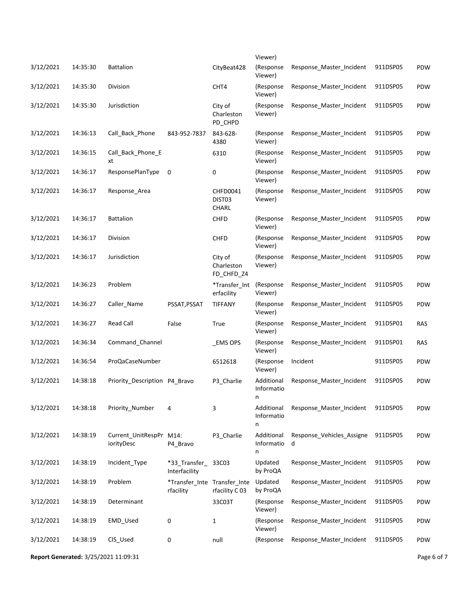|           |          |                                       |                                           |                                     | Viewer)                       |                                |          |            |
|-----------|----------|---------------------------------------|-------------------------------------------|-------------------------------------|-------------------------------|--------------------------------|----------|------------|
| 3/12/2021 | 14:35:30 | <b>Battalion</b>                      |                                           | CityBeat428                         | (Response<br>Viewer)          | Response Master Incident       | 911DSP05 | PDW        |
| 3/12/2021 | 14:35:30 | Division                              |                                           | CHT4                                | (Response<br>Viewer)          | Response Master Incident       | 911DSP05 | PDW        |
| 3/12/2021 | 14:35:30 | Jurisdiction                          |                                           | City of<br>Charleston<br>PD_CHPD    | (Response<br>Viewer)          | Response Master Incident       | 911DSP05 | PDW        |
| 3/12/2021 | 14:36:13 | Call_Back_Phone                       | 843-952-7837                              | 843-628-<br>4380                    | (Response<br>Viewer)          | Response Master Incident       | 911DSP05 | PDW        |
| 3/12/2021 | 14:36:15 | Call_Back_Phone_E<br>xt               |                                           | 6310                                | (Response<br>Viewer)          | Response Master Incident       | 911DSP05 | PDW        |
| 3/12/2021 | 14:36:17 | ResponsePlanType                      | 0                                         | 0                                   | (Response<br>Viewer)          | Response Master Incident       | 911DSP05 | PDW        |
| 3/12/2021 | 14:36:17 | Response Area                         |                                           | CHFD0041<br>DIST03<br><b>CHARL</b>  | (Response<br>Viewer)          | Response_Master_Incident       | 911DSP05 | PDW        |
| 3/12/2021 | 14:36:17 | <b>Battalion</b>                      |                                           | <b>CHFD</b>                         | (Response<br>Viewer)          | Response Master Incident       | 911DSP05 | PDW        |
| 3/12/2021 | 14:36:17 | Division                              |                                           | <b>CHFD</b>                         | (Response<br>Viewer)          | Response Master Incident       | 911DSP05 | PDW        |
| 3/12/2021 | 14:36:17 | Jurisdiction                          |                                           | City of<br>Charleston<br>FD_CHFD_Z4 | (Response<br>Viewer)          | Response Master Incident       | 911DSP05 | PDW        |
| 3/12/2021 | 14:36:23 | Problem                               |                                           | *Transfer_Int<br>erfacility         | (Response<br>Viewer)          | Response Master Incident       | 911DSP05 | PDW        |
| 3/12/2021 | 14:36:27 | Caller_Name                           | PSSAT, PSSAT                              | <b>TIFFANY</b>                      | (Response<br>Viewer)          | Response Master Incident       | 911DSP05 | PDW        |
| 3/12/2021 | 14:36:27 | <b>Read Call</b>                      | False                                     | True                                | (Response<br>Viewer)          | Response Master Incident       | 911DSP01 | <b>RAS</b> |
| 3/12/2021 | 14:36:34 | Command_Channel                       |                                           | _EMS OPS                            | (Response<br>Viewer)          | Response Master Incident       | 911DSP01 | <b>RAS</b> |
| 3/12/2021 | 14:36:54 | ProQaCaseNumber                       |                                           | 6512618                             | (Response<br>Viewer)          | Incident                       | 911DSP05 | PDW        |
| 3/12/2021 | 14:38:18 | Priority Description P4 Bravo         |                                           | P3_Charlie                          | Additional<br>Informatio<br>n | Response Master Incident       | 911DSP05 | PDW        |
| 3/12/2021 | 14:38:18 | Priority_Number                       | 4                                         | 3                                   | Additional<br>Informatio<br>n | Response_Master_Incident       | 911DSP05 | PDW        |
| 3/12/2021 | 14:38:19 | Current_UnitRespPr M14:<br>iorityDesc | P4_Bravo                                  | P3_Charlie                          | Additional<br>Informatio<br>n | Response_Vehicles_Assigne<br>d | 911DSP05 | PDW        |
| 3/12/2021 | 14:38:19 | Incident_Type                         | *33 Transfer 33C03<br>Interfacility       |                                     | Updated<br>by ProQA           | Response Master Incident       | 911DSP05 | PDW        |
| 3/12/2021 | 14:38:19 | Problem                               | *Transfer Inte Transfer Inte<br>rfacility | rfacility C 03                      | Updated<br>by ProQA           | Response Master Incident       | 911DSP05 | PDW        |
| 3/12/2021 | 14:38:19 | Determinant                           |                                           | 33C03T                              | (Response<br>Viewer)          | Response Master Incident       | 911DSP05 | PDW        |
| 3/12/2021 | 14:38:19 | EMD_Used                              | 0                                         | $\mathbf{1}$                        | (Response<br>Viewer)          | Response_Master_Incident       | 911DSP05 | PDW        |
| 3/12/2021 | 14:38:19 | CIS_Used                              | 0                                         | null                                | (Response                     | Response Master Incident       | 911DSP05 | PDW        |